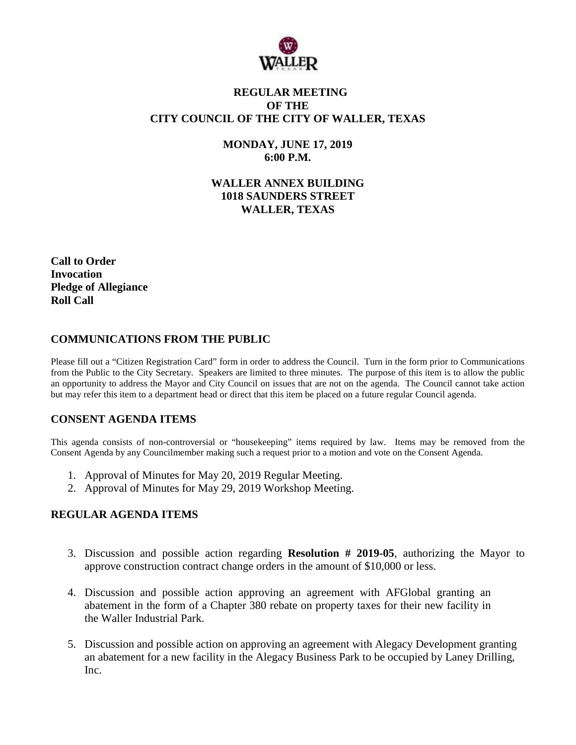

# **REGULAR MEETING OF THE CITY COUNCIL OF THE CITY OF WALLER, TEXAS**

**MONDAY, JUNE 17, 2019 6:00 P.M.**

**WALLER ANNEX BUILDING 1018 SAUNDERS STREET WALLER, TEXAS**

**Call to Order Invocation Pledge of Allegiance Roll Call**

# **COMMUNICATIONS FROM THE PUBLIC**

Please fill out a "Citizen Registration Card" form in order to address the Council. Turn in the form prior to Communications from the Public to the City Secretary. Speakers are limited to three minutes. The purpose of this item is to allow the public an opportunity to address the Mayor and City Council on issues that are not on the agenda. The Council cannot take action but may refer this item to a department head or direct that this item be placed on a future regular Council agenda.

#### **CONSENT AGENDA ITEMS**

This agenda consists of non-controversial or "housekeeping" items required by law. Items may be removed from the Consent Agenda by any Councilmember making such a request prior to a motion and vote on the Consent Agenda.

- 1. Approval of Minutes for May 20, 2019 Regular Meeting.
- 2. Approval of Minutes for May 29, 2019 Workshop Meeting.

#### **REGULAR AGENDA ITEMS**

- 3. Discussion and possible action regarding **Resolution # 2019-05**, authorizing the Mayor to approve construction contract change orders in the amount of \$10,000 or less.
- 4. Discussion and possible action approving an agreement with AFGlobal granting an abatement in the form of a Chapter 380 rebate on property taxes for their new facility in the Waller Industrial Park.
- 5. Discussion and possible action on approving an agreement with Alegacy Development granting an abatement for a new facility in the Alegacy Business Park to be occupied by Laney Drilling, Inc.